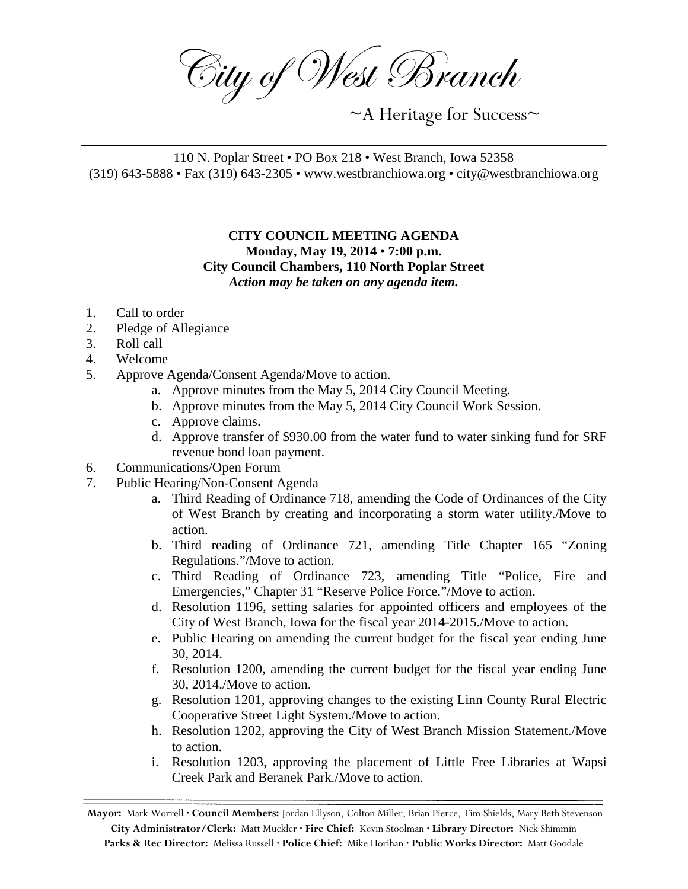City of West Branch

~A Heritage for Success~

110 N. Poplar Street • PO Box 218 • West Branch, Iowa 52358 (319) 643-5888 • Fax (319) 643-2305 • www.westbranchiowa.org • city@westbranchiowa.org

\_\_\_\_\_\_\_\_\_\_\_\_\_\_\_\_\_\_\_\_\_\_\_\_\_\_\_\_\_\_\_\_\_\_\_\_\_\_\_\_\_\_\_\_\_\_\_\_\_\_\_\_

## **CITY COUNCIL MEETING AGENDA Monday, May 19, 2014 • 7:00 p.m. City Council Chambers, 110 North Poplar Street** *Action may be taken on any agenda item.*

- 1. Call to order
- 2. Pledge of Allegiance
- 3. Roll call
- 4. Welcome
- 5. Approve Agenda/Consent Agenda/Move to action.
	- a. Approve minutes from the May 5, 2014 City Council Meeting.
	- b. Approve minutes from the May 5, 2014 City Council Work Session.
	- c. Approve claims.
	- d. Approve transfer of \$930.00 from the water fund to water sinking fund for SRF revenue bond loan payment.
- 6. Communications/Open Forum
- 7. Public Hearing/Non-Consent Agenda
	- a. Third Reading of Ordinance 718, amending the Code of Ordinances of the City of West Branch by creating and incorporating a storm water utility./Move to action.
	- b. Third reading of Ordinance 721, amending Title Chapter 165 "Zoning Regulations."/Move to action.
	- c. Third Reading of Ordinance 723, amending Title "Police, Fire and Emergencies," Chapter 31 "Reserve Police Force."/Move to action.
	- d. Resolution 1196, setting salaries for appointed officers and employees of the City of West Branch, Iowa for the fiscal year 2014-2015./Move to action.
	- e. Public Hearing on amending the current budget for the fiscal year ending June 30, 2014.
	- f. Resolution 1200, amending the current budget for the fiscal year ending June 30, 2014./Move to action.
	- g. Resolution 1201, approving changes to the existing Linn County Rural Electric Cooperative Street Light System./Move to action.
	- h. Resolution 1202, approving the City of West Branch Mission Statement./Move to action.
	- i. Resolution 1203, approving the placement of Little Free Libraries at Wapsi Creek Park and Beranek Park./Move to action.

**Mayor:** Mark Worrell **· Council Members:** Jordan Ellyson, Colton Miller, Brian Pierce, Tim Shields, Mary Beth Stevenson **City Administrator/Clerk:** Matt Muckler **· Fire Chief:** Kevin Stoolman **· Library Director:** Nick Shimmin **Parks & Rec Director:** Melissa Russell **· Police Chief:** Mike Horihan **· Public Works Director:** Matt Goodale